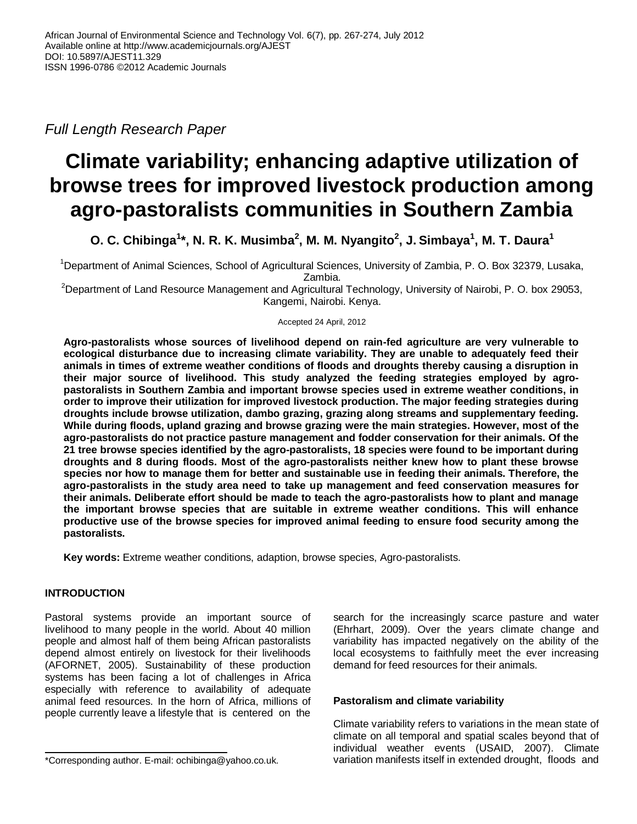*Full Length Research Paper*

# **Climate variability; enhancing adaptive utilization of browse trees for improved livestock production among agro-pastoralists communities in Southern Zambia**

O. C. Chibinga<sup>1\*</sup>, N. R. K. Musimba<sup>2</sup>, M. M. Nyangito<sup>2</sup>, J. Simbaya<sup>1</sup>, M. T. Daura<sup>1</sup>

<sup>1</sup>Department of Animal Sciences, School of Agricultural Sciences, University of Zambia, P. O. Box 32379, Lusaka, Zambia.

<sup>2</sup>Department of Land Resource Management and Agricultural Technology, University of Nairobi, P. O. box 29053, Kangemi, Nairobi. Kenya.

Accepted 24 April, 2012

**Agro-pastoralists whose sources of livelihood depend on rain-fed agriculture are very vulnerable to ecological disturbance due to increasing climate variability. They are unable to adequately feed their animals in times of extreme weather conditions of floods and droughts thereby causing a disruption in their major source of livelihood. This study analyzed the feeding strategies employed by agropastoralists in Southern Zambia and important browse species used in extreme weather conditions, in order to improve their utilization for improved livestock production. The major feeding strategies during droughts include browse utilization, dambo grazing, grazing along streams and supplementary feeding. While during floods, upland grazing and browse grazing were the main strategies. However, most of the agro-pastoralists do not practice pasture management and fodder conservation for their animals. Of the 21 tree browse species identified by the agro-pastoralists, 18 species were found to be important during droughts and 8 during floods. Most of the agro-pastoralists neither knew how to plant these browse species nor how to manage them for better and sustainable use in feeding their animals. Therefore, the agro-pastoralists in the study area need to take up management and feed conservation measures for their animals. Deliberate effort should be made to teach the agro-pastoralists how to plant and manage the important browse species that are suitable in extreme weather conditions. This will enhance productive use of the browse species for improved animal feeding to ensure food security among the pastoralists.**

**Key words:** Extreme weather conditions, adaption, browse species, Agro-pastoralists.

# **INTRODUCTION**

Pastoral systems provide an important source of livelihood to many people in the world. About 40 million people and almost half of them being African pastoralists depend almost entirely on livestock for their livelihoods (AFORNET, 2005). Sustainability of these production systems has been facing a lot of challenges in Africa especially with reference to availability of adequate animal feed resources. In the horn of Africa, millions of people currently leave a lifestyle that is centered on the

search for the increasingly scarce pasture and water (Ehrhart, 2009). Over the years climate change and variability has impacted negatively on the ability of the local ecosystems to faithfully meet the ever increasing demand for feed resources for their animals.

# **Pastoralism and climate variability**

Climate variability refers to variations in the mean state of climate on all temporal and spatial scales beyond that of individual weather events (USAID, 2007). Climate variation manifests itself in extended drought, floods and

<sup>\*</sup>Corresponding author. E-mail: ochibinga@yahoo.co.uk.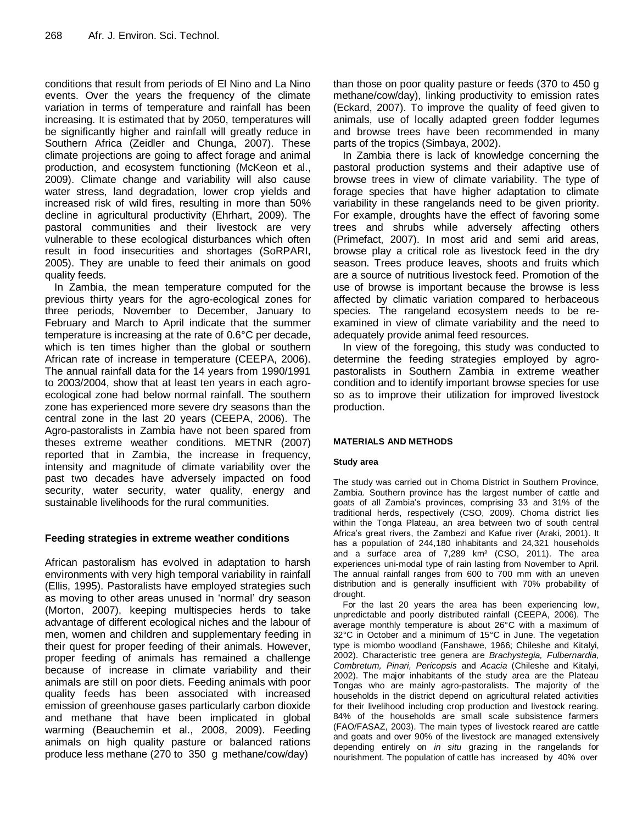conditions that result from periods of El Nino and La Nino events. Over the years the frequency of the climate variation in terms of temperature and rainfall has been increasing. It is estimated that by 2050, temperatures will be significantly higher and rainfall will greatly reduce in Southern Africa (Zeidler and Chunga, 2007). These climate projections are going to affect forage and animal production, and ecosystem functioning (McKeon et al., 2009). Climate change and variability will also cause water stress, land degradation, lower crop yields and increased risk of wild fires, resulting in more than 50% decline in agricultural productivity (Ehrhart, 2009). The pastoral communities and their livestock are very vulnerable to these ecological disturbances which often result in food insecurities and shortages (SoRPARI, 2005). They are unable to feed their animals on good quality feeds.

In Zambia, the mean temperature computed for the previous thirty years for the agro-ecological zones for three periods, November to December, January to February and March to April indicate that the summer temperature is increasing at the rate of 0.6°C per decade, which is ten times higher than the global or southern African rate of increase in temperature (CEEPA, 2006). The annual rainfall data for the 14 years from 1990/1991 to 2003/2004, show that at least ten years in each agroecological zone had below normal rainfall. The southern zone has experienced more severe dry seasons than the central zone in the last 20 years (CEEPA, 2006). The Agro-pastoralists in Zambia have not been spared from theses extreme weather conditions. METNR (2007) reported that in Zambia, the increase in frequency, intensity and magnitude of climate variability over the past two decades have adversely impacted on food security, water security, water quality, energy and sustainable livelihoods for the rural communities.

# **Feeding strategies in extreme weather conditions**

African pastoralism has evolved in adaptation to harsh environments with very high temporal variability in rainfall (Ellis, 1995). Pastoralists have employed strategies such as moving to other areas unused in "normal" dry season (Morton, 2007), keeping multispecies herds to take advantage of different ecological niches and the labour of men, women and children and supplementary feeding in their quest for proper feeding of their animals. However, proper feeding of animals has remained a challenge because of increase in climate variability and their animals are still on poor diets. Feeding animals with poor quality feeds has been associated with increased emission of greenhouse gases particularly carbon dioxide and methane that have been implicated in global warming (Beauchemin et al., 2008, 2009). Feeding animals on high quality pasture or balanced rations produce less methane (270 to 350 g methane/cow/day)

than those on poor quality pasture or feeds (370 to 450 g methane/cow/day), linking productivity to emission rates (Eckard, 2007). To improve the quality of feed given to animals, use of locally adapted green fodder legumes and browse trees have been recommended in many parts of the tropics (Simbaya, 2002).

In Zambia there is lack of knowledge concerning the pastoral production systems and their adaptive use of browse trees in view of climate variability. The type of forage species that have higher adaptation to climate variability in these rangelands need to be given priority. For example, droughts have the effect of favoring some trees and shrubs while adversely affecting others (Primefact, 2007). In most arid and semi arid areas, browse play a critical role as livestock feed in the dry season. Trees produce leaves, shoots and fruits which are a source of nutritious livestock feed. Promotion of the use of browse is important because the browse is less affected by climatic variation compared to herbaceous species. The rangeland ecosystem needs to be reexamined in view of climate variability and the need to adequately provide animal feed resources.

In view of the foregoing, this study was conducted to determine the feeding strategies employed by agropastoralists in Southern Zambia in extreme weather condition and to identify important browse species for use so as to improve their utilization for improved livestock production.

# **MATERIALS AND METHODS**

#### **Study area**

The study was carried out in Choma District in Southern Province, Zambia. Southern province has the largest number of cattle and goats of all Zambia"s provinces, comprising 33 and 31% of the traditional herds, respectively (CSO, 2009). Choma district lies within the Tonga Plateau, an area between two of south central Africa"s great rivers, the Zambezi and Kafue river (Araki, 2001). It has a population of 244,180 inhabitants and 24,321 households and a surface area of 7,289 km² (CSO, 2011). The area experiences uni-modal type of rain lasting from November to April. The annual rainfall ranges from 600 to 700 mm with an uneven distribution and is generally insufficient with 70% probability of drought.

For the last 20 years the area has been experiencing low, unpredictable and poorly distributed rainfall (CEEPA, 2006). The average monthly temperature is about 26°C with a maximum of 32°C in October and a minimum of 15°C in June. The vegetation type is miombo woodland (Fanshawe, 1966; Chileshe and Kitalyi, 2002). Characteristic tree genera are *Brachystegia, Fulbernardia, Combretum, Pinari, Pericopsis* and *Acacia* (Chileshe and Kitalyi, 2002). The major inhabitants of the study area are the Plateau Tongas who are mainly agro-pastoralists. The majority of the households in the district depend on agricultural related activities for their livelihood including crop production and livestock rearing. 84% of the households are small scale subsistence farmers (FAO/FASAZ, 2003). The main types of livestock reared are cattle and goats and over 90% of the livestock are managed extensively depending entirely on *in situ* grazing in the rangelands for nourishment. The population of cattle has increased by 40% over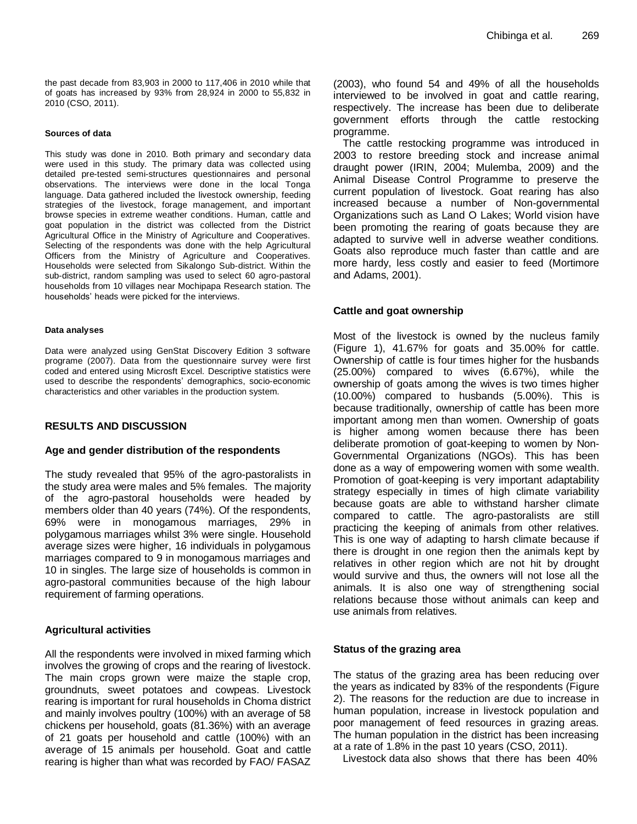the past decade from 83,903 in 2000 to 117,406 in 2010 while that of goats has increased by 93% from 28,924 in 2000 to 55,832 in 2010 (CSO, 2011).

#### **Sources of data**

This study was done in 2010. Both primary and secondary data were used in this study. The primary data was collected using detailed pre-tested semi-structures questionnaires and personal observations. The interviews were done in the local Tonga language. Data gathered included the livestock ownership, feeding strategies of the livestock, forage management, and important browse species in extreme weather conditions. Human, cattle and goat population in the district was collected from the District Agricultural Office in the Ministry of Agriculture and Cooperatives. Selecting of the respondents was done with the help Agricultural Officers from the Ministry of Agriculture and Cooperatives. Households were selected from Sikalongo Sub-district. Within the sub-district, random sampling was used to select 60 agro-pastoral households from 10 villages near Mochipapa Research station. The households" heads were picked for the interviews.

#### **Data analyses**

Data were analyzed using GenStat Discovery Edition 3 software programe (2007). Data from the questionnaire survey were first coded and entered using Microsft Excel. Descriptive statistics were used to describe the respondents' demographics, socio-economic characteristics and other variables in the production system.

# **RESULTS AND DISCUSSION**

#### **Age and gender distribution of the respondents**

The study revealed that 95% of the agro-pastoralists in the study area were males and 5% females. The majority of the agro-pastoral households were headed by members older than 40 years (74%). Of the respondents, 69% were in monogamous marriages, 29% in polygamous marriages whilst 3% were single. Household average sizes were higher, 16 individuals in polygamous marriages compared to 9 in monogamous marriages and 10 in singles. The large size of households is common in agro-pastoral communities because of the high labour requirement of farming operations.

#### **Agricultural activities**

All the respondents were involved in mixed farming which involves the growing of crops and the rearing of livestock. The main crops grown were maize the staple crop, groundnuts, sweet potatoes and cowpeas. Livestock rearing is important for rural households in Choma district and mainly involves poultry (100%) with an average of 58 chickens per household, goats (81.36%) with an average of 21 goats per household and cattle (100%) with an average of 15 animals per household. Goat and cattle rearing is higher than what was recorded by FAO/ FASAZ (2003), who found 54 and 49% of all the households interviewed to be involved in goat and cattle rearing, respectively. The increase has been due to deliberate government efforts through the cattle restocking programme.

The cattle restocking programme was introduced in 2003 to restore breeding stock and increase animal draught power (IRIN, 2004; Mulemba, 2009) and the Animal Disease Control Programme to preserve the current population of livestock. Goat rearing has also increased because a number of Non-governmental Organizations such as Land O Lakes; World vision have been promoting the rearing of goats because they are adapted to survive well in adverse weather conditions. Goats also reproduce much faster than cattle and are more hardy, less costly and easier to feed (Mortimore and Adams, 2001).

#### **Cattle and goat ownership**

Most of the livestock is owned by the nucleus family (Figure 1), 41.67% for goats and 35.00% for cattle. Ownership of cattle is four times higher for the husbands (25.00%) compared to wives (6.67%), while the ownership of goats among the wives is two times higher (10.00%) compared to husbands (5.00%). This is because traditionally, ownership of cattle has been more important among men than women. Ownership of goats is higher among women because there has been deliberate promotion of goat-keeping to women by Non-Governmental Organizations (NGOs). This has been done as a way of empowering women with some wealth. Promotion of goat-keeping is very important adaptability strategy especially in times of high climate variability because goats are able to withstand harsher climate compared to cattle. The agro-pastoralists are still practicing the keeping of animals from other relatives. This is one way of adapting to harsh climate because if there is drought in one region then the animals kept by relatives in other region which are not hit by drought would survive and thus, the owners will not lose all the animals. It is also one way of strengthening social relations because those without animals can keep and use animals from relatives.

#### **Status of the grazing area**

The status of the grazing area has been reducing over the years as indicated by 83% of the respondents (Figure 2). The reasons for the reduction are due to increase in human population, increase in livestock population and poor management of feed resources in grazing areas. The human population in the district has been increasing at a rate of 1.8% in the past 10 years (CSO, 2011).

Livestock data also shows that there has been 40%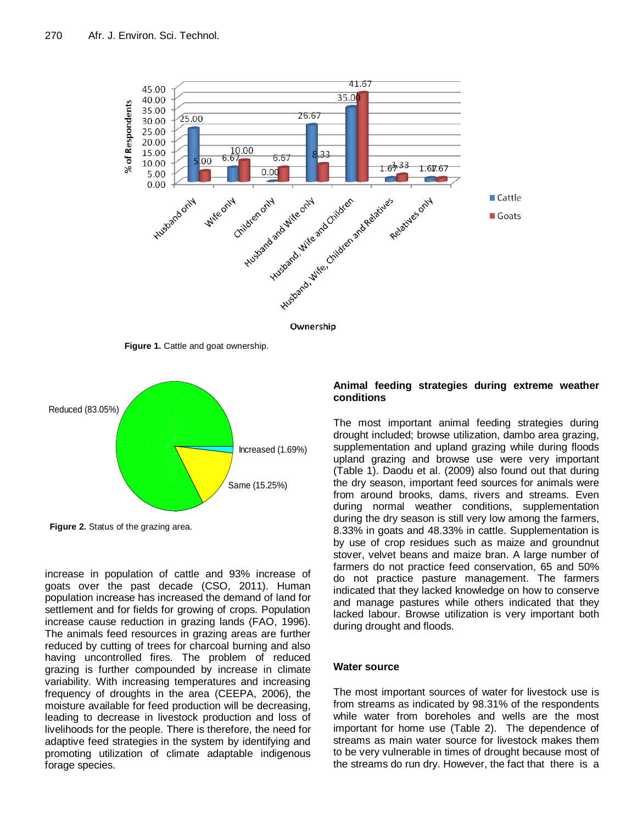

**Figure 1.** Cattle and goat ownership.



**Figure 2.** Status of the grazing area.

increase in population of cattle and 93% increase of goats over the past decade (CSO, 2011). Human population increase has increased the demand of land for settlement and for fields for growing of crops. Population increase cause reduction in grazing lands (FAO, 1996). The animals feed resources in grazing areas are further reduced by cutting of trees for charcoal burning and also having uncontrolled fires. The problem of reduced grazing is further compounded by increase in climate variability. With increasing temperatures and increasing frequency of droughts in the area (CEEPA, 2006), the moisture available for feed production will be decreasing, leading to decrease in livestock production and loss of livelihoods for the people. There is therefore, the need for adaptive feed strategies in the system by identifying and promoting utilization of climate adaptable indigenous forage species.

#### **Animal feeding strategies during extreme weather conditions**

The most important animal feeding strategies during drought included; browse utilization, dambo area grazing, supplementation and upland grazing while during floods upland grazing and browse use were very important (Table 1). Daodu et al. (2009) also found out that during the dry season, important feed sources for animals were from around brooks, dams, rivers and streams. Even during normal weather conditions, supplementation during the dry season is still very low among the farmers, 8.33% in goats and 48.33% in cattle. Supplementation is by use of crop residues such as maize and groundnut stover, velvet beans and maize bran. A large number of farmers do not practice feed conservation, 65 and 50% do not practice pasture management. The farmers indicated that they lacked knowledge on how to conserve and manage pastures while others indicated that they lacked labour. Browse utilization is very important both during drought and floods.

#### **Water source**

The most important sources of water for livestock use is from streams as indicated by 98.31% of the respondents while water from boreholes and wells are the most important for home use (Table 2). The dependence of streams as main water source for livestock makes them to be very vulnerable in times of drought because most of the streams do run dry. However, the fact that there is a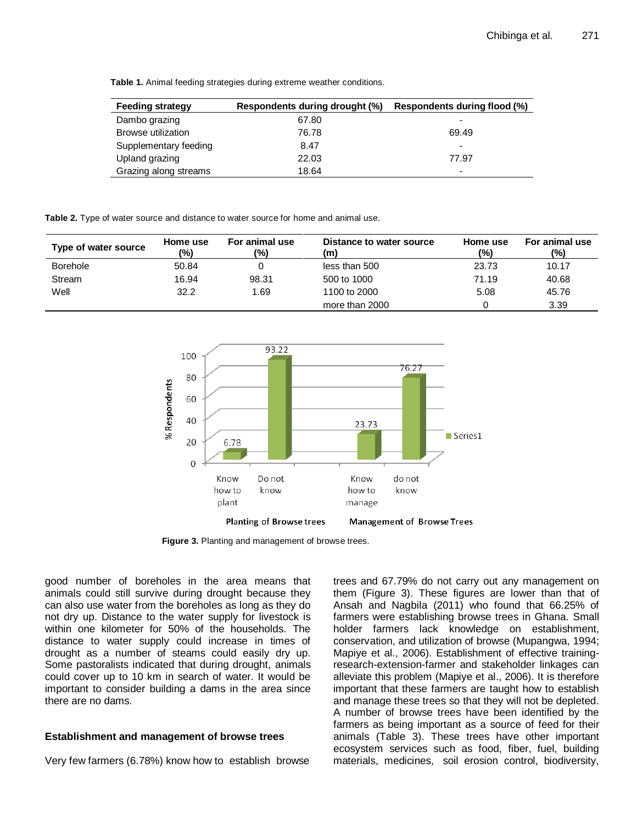**Table 1.** Animal feeding strategies during extreme weather conditions.

| <b>Feeding strategy</b> | Respondents during drought (%) | Respondents during flood (%) |
|-------------------------|--------------------------------|------------------------------|
| Dambo grazing           | 67.80                          | $\overline{\phantom{0}}$     |
| Browse utilization      | 76.78                          | 69.49                        |
| Supplementary feeding   | 8.47                           | $\overline{\phantom{a}}$     |
| Upland grazing          | 22.03                          | 77.97                        |
| Grazing along streams   | 18.64                          | $\overline{\phantom{a}}$     |

**Table 2.** Type of water source and distance to water source for home and animal use.

| Type of water source | Home use<br>(%) | For animal use<br>(%) | Distance to water source<br>(m) | Home use<br>(%) | For animal use<br>(%) |
|----------------------|-----------------|-----------------------|---------------------------------|-----------------|-----------------------|
| <b>Borehole</b>      | 50.84           |                       | less than 500                   | 23.73           | 10.17                 |
| Stream               | 16.94           | 98.31                 | 500 to 1000                     | 71.19           | 40.68                 |
| Well                 | 32.2            | 1.69                  | 1100 to 2000                    | 5.08            | 45.76                 |
|                      |                 |                       | more than 2000                  |                 | 3.39                  |



**Figure 3.** Planting and management of browse trees.

good number of boreholes in the area means that animals could still survive during drought because they can also use water from the boreholes as long as they do not dry up. Distance to the water supply for livestock is within one kilometer for 50% of the households. The distance to water supply could increase in times of drought as a number of steams could easily dry up. Some pastoralists indicated that during drought, animals could cover up to 10 km in search of water. It would be important to consider building a dams in the area since there are no dams.

# **Establishment and management of browse trees**

Very few farmers (6.78%) know how to establish browse

trees and 67.79% do not carry out any management on them (Figure 3). These figures are lower than that of Ansah and Nagbila (2011) who found that 66.25% of farmers were establishing browse trees in Ghana. Small holder farmers lack knowledge on establishment, conservation, and utilization of browse (Mupangwa, 1994; Mapiye et al., 2006). Establishment of effective trainingresearch-extension-farmer and stakeholder linkages can alleviate this problem (Mapiye et al., 2006). It is therefore important that these farmers are taught how to establish and manage these trees so that they will not be depleted. A number of browse trees have been identified by the farmers as being important as a source of feed for their animals (Table 3). These trees have other important ecosystem services such as food, fiber, fuel, building materials, medicines, soil erosion control, biodiversity,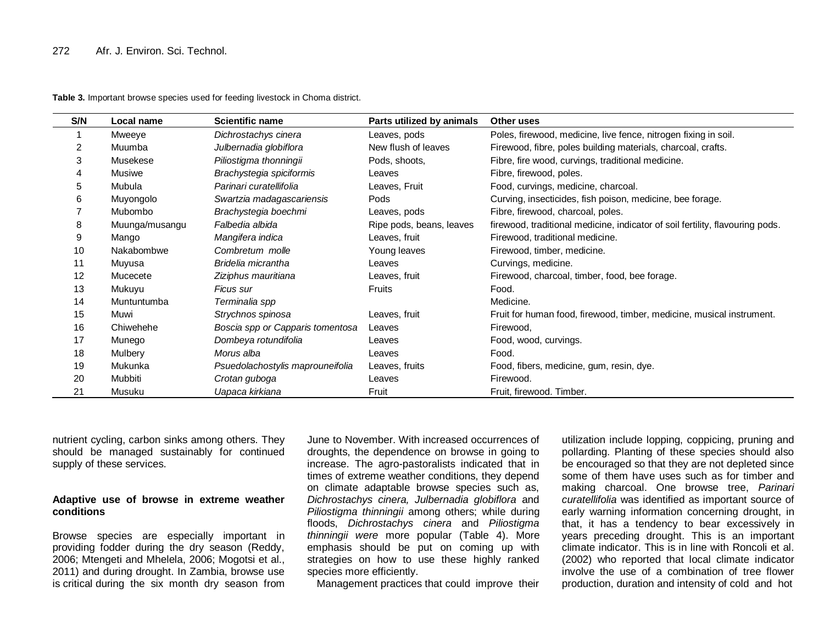| S/N | Local name     | <b>Scientific name</b>           | Parts utilized by animals | Other uses                                                                    |
|-----|----------------|----------------------------------|---------------------------|-------------------------------------------------------------------------------|
|     | Mweeye         | Dichrostachys cinera             | Leaves, pods              | Poles, firewood, medicine, live fence, nitrogen fixing in soil.               |
| 2   | Muumba         | Julbernadia globiflora           | New flush of leaves       | Firewood, fibre, poles building materials, charcoal, crafts.                  |
| 3   | Musekese       | Piliostigma thonningii           | Pods, shoots,             | Fibre, fire wood, curvings, traditional medicine.                             |
|     | Musiwe         | Brachystegia spiciformis         | Leaves                    | Fibre, firewood, poles.                                                       |
| 5   | Mubula         | Parinari curatellifolia          | Leaves, Fruit             | Food, curvings, medicine, charcoal.                                           |
| 6   | Muyongolo      | Swartzia madagascariensis        | Pods                      | Curving, insecticides, fish poison, medicine, bee forage.                     |
|     | Mubombo        | Brachystegia boechmi             | Leaves, pods              | Fibre, firewood, charcoal, poles.                                             |
| 8   | Muunga/musangu | Falbedia albida                  | Ripe pods, beans, leaves  | firewood, traditional medicine, indicator of soil fertility, flavouring pods. |
| 9   | Mango          | Mangifera indica                 | Leaves, fruit             | Firewood, traditional medicine.                                               |
| 10  | Nakabombwe     | Combretum molle                  | Young leaves              | Firewood, timber, medicine.                                                   |
| 11  | Muyusa         | Bridelia micrantha               | Leaves                    | Curvings, medicine.                                                           |
| 12  | Mucecete       | Ziziphus mauritiana              | Leaves, fruit             | Firewood, charcoal, timber, food, bee forage.                                 |
| 13  | Mukuyu         | Ficus sur                        | <b>Fruits</b>             | Food.                                                                         |
| 14  | Muntuntumba    | Terminalia spp                   |                           | Medicine.                                                                     |
| 15  | Muwi           | Strychnos spinosa                | Leaves, fruit             | Fruit for human food, firewood, timber, medicine, musical instrument.         |
| 16  | Chiwehehe      | Boscia spp or Capparis tomentosa | Leaves                    | Firewood,                                                                     |
| 17  | Munego         | Dombeya rotundifolia             | Leaves                    | Food, wood, curvings.                                                         |
| 18  | Mulbery        | Morus alba                       | Leaves                    | Food.                                                                         |
| 19  | Mukunka        | Psuedolachostylis maprouneifolia | Leaves, fruits            | Food, fibers, medicine, gum, resin, dye.                                      |
| 20  | Mubbiti        | Crotan guboga                    | Leaves                    | Firewood.                                                                     |
| 21  | Musuku         | Uapaca kirkiana                  | Fruit                     | Fruit, firewood. Timber.                                                      |

**Table 3.** Important browse species used for feeding livestock in Choma district.

nutrient cycling, carbon sinks among others. They should be managed sustainably for continued supply of these services.

#### **Adaptive use of browse in extreme weather conditions**

Browse species are especially important in providing fodder during the dry season (Reddy, 2006; Mtengeti and Mhelela, 2006; Mogotsi et al., 2011) and during drought. In Zambia, browse use is critical during the six month dry season from

June to November. With increased occurrences of droughts, the dependence on browse in going to increase. The agro-pastoralists indicated that in times of extreme weather conditions, they depend on climate adaptable browse species such as, *Dichrostachys cinera, Julbernadia globiflora* and *Piliostigma thinningii* among others; while during floods, *Dichrostachys cinera* and *Piliostigma thinningii were* more popular (Table 4). More emphasis should be put on coming up with strategies on how to use these highly ranked species more efficiently.

Management practices that could improve their

utilization include lopping, coppicing, pruning and pollarding. Planting of these species should also be encouraged so that they are not depleted since some of them have uses such as for timber and making charcoal. One browse tree, *Parinari curatellifolia* was identified as important source of early warning information concerning drought, in that, it has a tendency to bear excessively in years preceding drought. This is an important climate indicator. This is in line with Roncoli et al. (2002) who reported that local climate indicator involve the use of a combination of tree flower production, duration and intensity of cold and hot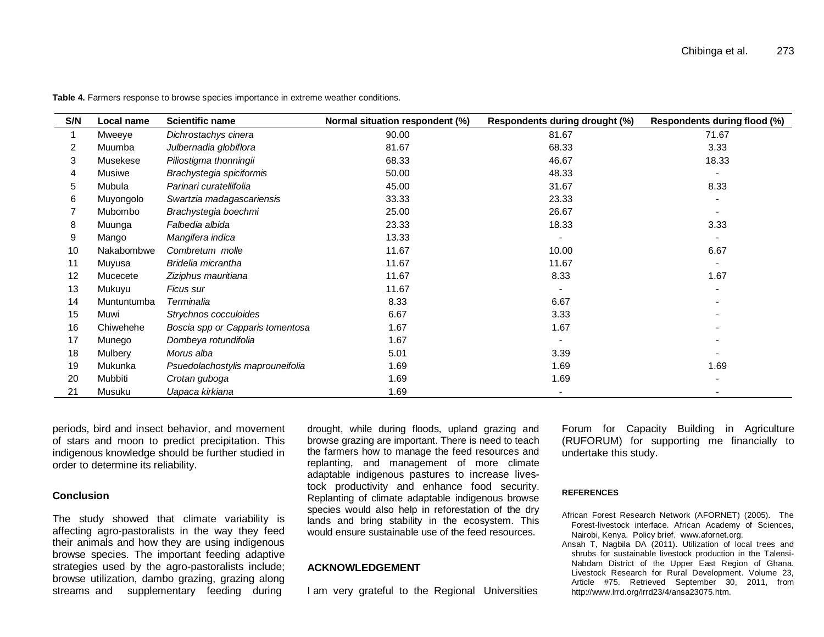| S/N | Local name  | <b>Scientific name</b>           | Normal situation respondent (%) | Respondents during drought (%) | Respondents during flood (%) |
|-----|-------------|----------------------------------|---------------------------------|--------------------------------|------------------------------|
|     | Mweeye      | Dichrostachys cinera             | 90.00                           | 81.67                          | 71.67                        |
| 2   | Muumba      | Julbernadia globiflora           | 81.67                           | 68.33                          | 3.33                         |
| 3   | Musekese    | Piliostigma thonningii           | 68.33                           | 46.67                          | 18.33                        |
| 4   | Musiwe      | Brachystegia spiciformis         | 50.00                           | 48.33                          |                              |
| 5   | Mubula      | Parinari curatellifolia          | 45.00                           | 31.67                          | 8.33                         |
| 6   | Muyongolo   | Swartzia madagascariensis        | 33.33                           | 23.33                          |                              |
|     | Mubombo     | Brachystegia boechmi             | 25.00                           | 26.67                          |                              |
| 8   | Muunga      | Falbedia albida                  | 23.33                           | 18.33                          | 3.33                         |
| 9   | Mango       | Mangifera indica                 | 13.33                           |                                |                              |
| 10  | Nakabombwe  | Combretum molle                  | 11.67                           | 10.00                          | 6.67                         |
| 11  | Muyusa      | Bridelia micrantha               | 11.67                           | 11.67                          |                              |
| 12  | Mucecete    | Ziziphus mauritiana              | 11.67                           | 8.33                           | 1.67                         |
| 13  | Mukuyu      | Ficus sur                        | 11.67                           |                                |                              |
| 14  | Muntuntumba | Terminalia                       | 8.33                            | 6.67                           |                              |
| 15  | Muwi        | Strychnos cocculoides            | 6.67                            | 3.33                           |                              |
| 16  | Chiwehehe   | Boscia spp or Capparis tomentosa | 1.67                            | 1.67                           |                              |
| 17  | Munego      | Dombeya rotundifolia             | 1.67                            |                                |                              |
| 18  | Mulbery     | Morus alba                       | 5.01                            | 3.39                           |                              |
| 19  | Mukunka     | Psuedolachostylis maprouneifolia | 1.69                            | 1.69                           | 1.69                         |
| 20  | Mubbiti     | Crotan guboga                    | 1.69                            | 1.69                           |                              |
| 21  | Musuku      | Uapaca kirkiana                  | 1.69                            |                                |                              |

**Table 4.** Farmers response to browse species importance in extreme weather conditions.

periods, bird and insect behavior, and movement of stars and moon to predict precipitation. This indigenous knowledge should be further studied in order to determine its reliability.

#### **Conclusion**

The study showed that climate variability is affecting agro-pastoralists in the way they feed their animals and how they are using indigenous browse species. The important feeding adaptive strategies used by the agro-pastoralists include; browse utilization, dambo grazing, grazing along streams and supplementary feeding during

drought, while during floods, upland grazing and browse grazing are important. There is need to teach the farmers how to manage the feed resources and replanting, and management of more climate adaptable indigenous pastures to increase livestock productivity and enhance food security. Replanting of climate adaptable indigenous browse species would also help in reforestation of the dry lands and bring stability in the ecosystem. This would ensure sustainable use of the feed resources.

#### **ACKNOWLEDGEMENT**

I am very grateful to the Regional Universities

Forum for Capacity Building in Agriculture (RUFORUM) for supporting me financially to undertake this study.

#### **REFERENCES**

- African Forest Research Network (AFORNET) (2005). The Forest-livestock interface. African Academy of Sciences, Nairobi, Kenya. Policy brief. www.afornet.org.
- Ansah T, Nagbila DA (2011). Utilization of local trees and shrubs for sustainable livestock production in the Talensi-Nabdam District of the Upper East Region of Ghana. Livestock Research for Rural Development. Volume 23, Article #75. Retrieved September 30, 2011, from http://www.lrrd.org/lrrd23/4/ansa23075.htm.